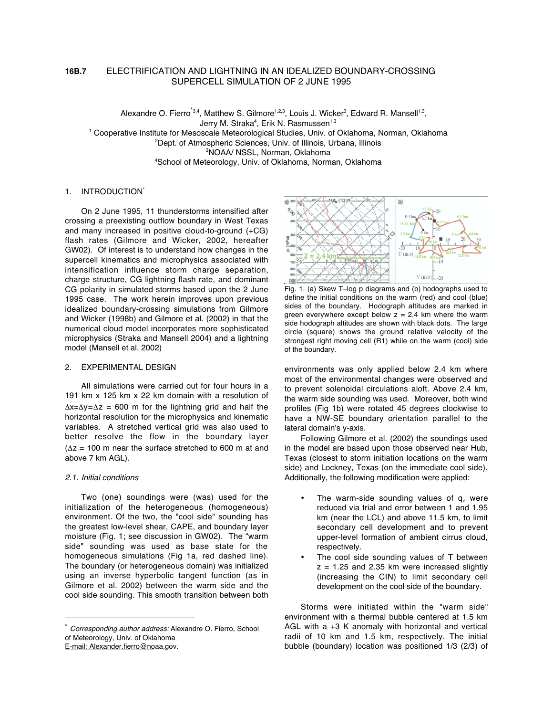# **16B.7** ELECTRIFICATION AND LIGHTNING IN AN IDEALIZED BOUNDARY-CROSSING SUPERCELL SIMULATION OF 2 JUNE 1995

Alexandre O. Fierro<sup>\*3,4</sup>, Matthew S. Gilmore<sup>1,2,3</sup>, Louis J. Wicker<sup>3</sup>, Edward R. Mansell<sup>1,3</sup>, Jerry M. Straka<sup>4</sup>, Erik N. Rasmussen<sup>1,3</sup>

1 Cooperative Institute for Mesoscale Meteorological Studies, Univ. of Oklahoma, Norman, Oklahoma

2 Dept. of Atmospheric Sciences, Univ. of Illinois, Urbana, Illinois

3 NOAA/ NSSL, Norman, Oklahoma

4 School of Meteorology, Univ. of Oklahoma, Norman, Oklahoma

# 1. INTRODUCTION\*

On 2 June 1995, 11 thunderstorms intensified after crossing a preexisting outflow boundary in West Texas and many increased in positive cloud-to-ground (+CG) flash rates (Gilmore and Wicker, 2002, hereafter GW02). Of interest is to understand how changes in the supercell kinematics and microphysics associated with intensification influence storm charge separation, charge structure, CG lightning flash rate, and dominant CG polarity in simulated storms based upon the 2 June 1995 case. The work herein improves upon previous idealized boundary-crossing simulations from Gilmore and Wicker (1998b) and Gilmore et al. (2002) in that the numerical cloud model incorporates more sophisticated microphysics (Straka and Mansell 2004) and a lightning model (Mansell et al. 2002)

### 2. EXPERIMENTAL DESIGN

All simulations were carried out for four hours in a 191 km x 125 km x 22 km domain with a resolution of ∆x=∆y=∆z = 600 m for the lightning grid and half the horizontal resolution for the microphysics and kinematic variables. A stretched vertical grid was also used to better resolve the flow in the boundary layer  $(\Delta z = 100 \text{ m} \text{ near the surface stretched to } 600 \text{ m at and})$ above 7 km AGL).

### 2.1. Initial conditions

Two (one) soundings were (was) used for the initialization of the heterogeneous (homogeneous) environment. Of the two, the "cool side" sounding has the greatest low-level shear, CAPE, and boundary layer moisture (Fig. 1; see discussion in GW02). The "warm side" sounding was used as base state for the homogeneous simulations (Fig 1a, red dashed line). The boundary (or heterogeneous domain) was initialized using an inverse hyperbolic tangent function (as in Gilmore et al. 2002) between the warm side and the cool side sounding. This smooth transition between both



Fig. 1. (a) Skew T–log p diagrams and (b) hodographs used to define the initial conditions on the warm (red) and cool (blue) sides of the boundary. Hodograph altitudes are marked in green everywhere except below  $z = 2.4$  km where the warm side hodograph altitudes are shown with black dots. The large circle (square) shows the ground relative velocity of the strongest right moving cell (R1) while on the warm (cool) side of the boundary.

environments was only applied below 2.4 km where most of the environmental changes were observed and to prevent solenoidal circulations aloft. Above 2.4 km, the warm side sounding was used. Moreover, both wind profiles (Fig 1b) were rotated 45 degrees clockwise to have a NW-SE boundary orientation parallel to the lateral domain's y-axis.

Following Gilmore et al. (2002) the soundings used in the model are based upon those observed near Hub, Texas (closest to storm initiation locations on the warm side) and Lockney, Texas (on the immediate cool side). Additionally, the following modification were applied:

- The warm-side sounding values of  $q_v$  were reduced via trial and error between 1 and 1.95 km (near the LCL) and above 11.5 km, to limit secondary cell development and to prevent upper-level formation of ambient cirrus cloud, respectively.
- The cool side sounding values of T between  $z = 1.25$  and 2.35 km were increased slightly (increasing the CIN) to limit secondary cell development on the cool side of the boundary.

Storms were initiated within the "warm side" environment with a thermal bubble centered at 1.5 km AGL with a +3 K anomaly with horizontal and vertical radii of 10 km and 1.5 km, respectively. The initial bubble (boundary) location was positioned 1/3 (2/3) of

Corresponding author address: Alexandre O. Fierro, School of Meteorology, Univ. of Oklahoma E-mail: Alexander.fierro@noaa.gov.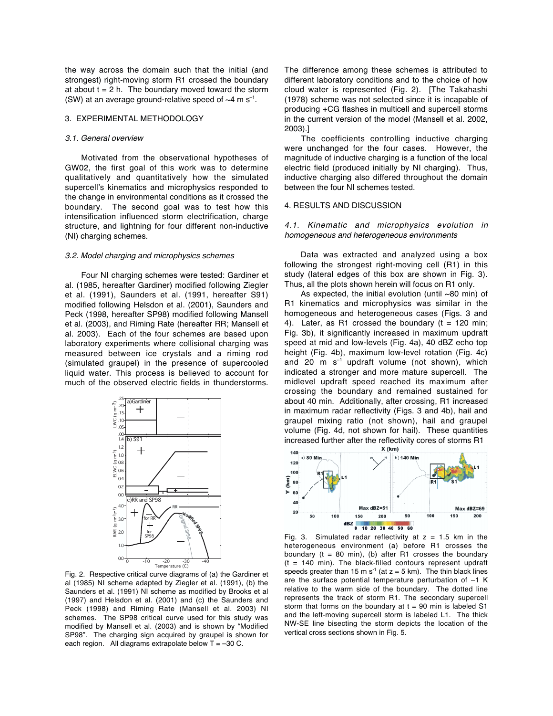the way across the domain such that the initial (and strongest) right-moving storm R1 crossed the boundary at about  $t = 2$  h. The boundary moved toward the storm (SW) at an average ground-relative speed of  $\sim$ 4 m s<sup>-1</sup>.

### 3. EXPERIMENTAL METHODOLOGY

### 3.1. General overview

Motivated from the observational hypotheses of GW02, the first goal of this work was to determine qualitatively and quantitatively how the simulated supercell's kinematics and microphysics responded to the change in environmental conditions as it crossed the boundary. The second goal was to test how this intensification influenced storm electrification, charge structure, and lightning for four different non-inductive (NI) charging schemes.

### 3.2. Model charging and microphysics schemes

Four NI charging schemes were tested: Gardiner et al. (1985, hereafter Gardiner) modified following Ziegler et al. (1991), Saunders et al. (1991, hereafter S91) modified following Helsdon et al. (2001), Saunders and Peck (1998, hereafter SP98) modified following Mansell et al. (2003), and Riming Rate (hereafter RR; Mansell et al. 2003). Each of the four schemes are based upon laboratory experiments where collisional charging was measured between ice crystals and a riming rod (simulated graupel) in the presence of supercooled liquid water. This process is believed to account for much of the observed electric fields in thunderstorms.



Fig. 2. Respective critical curve diagrams of (a) the Gardiner et al (1985) NI scheme adapted by Ziegler et al. (1991), (b) the Saunders et al. (1991) NI scheme as modified by Brooks et al (1997) and Helsdon et al. (2001) and (c) the Saunders and Peck (1998) and Riming Rate (Mansell et al. 2003) NI schemes. The SP98 critical curve used for this study was modified by Mansell et al. (2003) and is shown by "Modified SP98". The charging sign acquired by graupel is shown for each region. All diagrams extrapolate below  $T = -30$  C.

The difference among these schemes is attributed to different laboratory conditions and to the choice of how cloud water is represented (Fig. 2). [The Takahashi (1978) scheme was not selected since it is incapable of producing +CG flashes in multicell and supercell storms in the current version of the model (Mansell et al. 2002, 2003).]

The coefficients controlling inductive charging were unchanged for the four cases. However, the magnitude of inductive charging is a function of the local electric field (produced initially by NI charging). Thus, inductive charging also differed throughout the domain between the four NI schemes tested.

#### 4. RESULTS AND DISCUSSION

# 4.1. Kinematic and microphysics evolution in homogeneous and heterogeneous environments

Data was extracted and analyzed using a box following the strongest right-moving cell (R1) in this study (lateral edges of this box are shown in Fig. 3). Thus, all the plots shown herein will focus on R1 only.

As expected, the initial evolution (until ~80 min) of R1 kinematics and microphysics was similar in the homogeneous and heterogeneous cases (Figs. 3 and 4). Later, as R1 crossed the boundary  $(t = 120$  min; Fig. 3b), it significantly increased in maximum updraft speed at mid and low-levels (Fig. 4a), 40 dBZ echo top height (Fig. 4b), maximum low-level rotation (Fig. 4c) and 20 m  $s^{-1}$  updraft volume (not shown), which indicated a stronger and more mature supercell. The midlevel updraft speed reached its maximum after crossing the boundary and remained sustained for about 40 min. Additionally, after crossing, R1 increased in maximum radar reflectivity (Figs. 3 and 4b), hail and graupel mixing ratio (not shown), hail and graupel volume (Fig. 4d, not shown for hail). These quantities increased further after the reflectivity cores of storms R1<br> $x$  (km)



Fig. 3. Simulated radar reflectivity at  $z = 1.5$  km in the heterogeneous environment (a) before R1 crosses the boundary ( $t = 80$  min), (b) after R1 crosses the boundary  $(t = 140$  min). The black-filled contours represent updraft speeds greater than 15 m s<sup>-1</sup> (at  $z = 5$  km). The thin black lines are the surface potential temperature perturbation of –1 K relative to the warm side of the boundary. The dotted line represents the track of storm R1. The secondary supercell storm that forms on the boundary at  $t = 90$  min is labeled S1 and the left-moving supercell storm is labeled L1. The thick NW-SE line bisecting the storm depicts the location of the vertical cross sections shown in Fig. 5.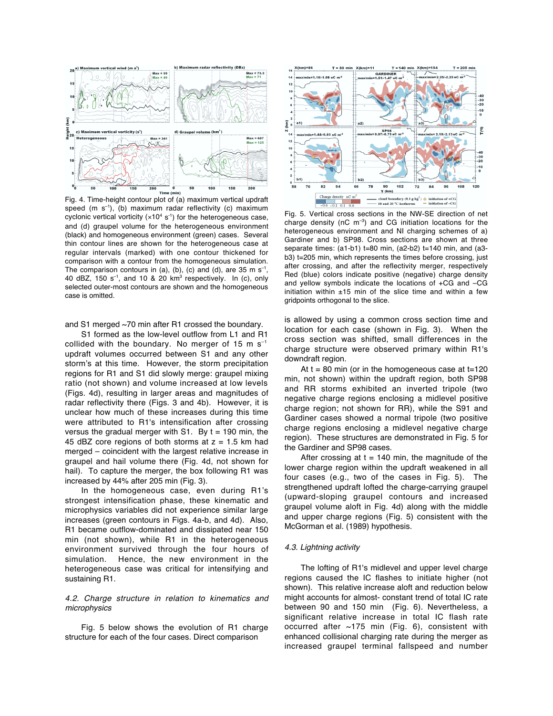

Fig. 4. Time-height contour plot of (a) maximum vertical updraft speed (m  $s^{-1}$ ), (b) maximum radar reflectivity (c) maximum cyclonic vertical vorticity  $(x10^4 s^{-1})$  for the heterogeneous case, and (d) graupel volume for the heterogeneous environment (black) and homogeneous environment (green) cases. Several thin contour lines are shown for the heterogeneous case at regular intervals (marked) with one contour thickened for comparison with a contour from the homogeneous simulation. The comparison contours in (a), (b), (c) and (d), are 35 m  $s^{-1}$ , 40 dBZ, 150  $s^{-1}$ , and 10 & 20 km<sup>3</sup> respectively. In (c), only selected outer-most contours are shown and the homogeneous case is omitted.

and S1 merged ~70 min after R1 crossed the boundary.

S1 formed as the low-level outflow from L1 and R1 collided with the boundary. No merger of 15 m  $s^{-1}$ updraft volumes occurred between S1 and any other storm's at this time. However, the storm precipitation regions for R1 and S1 did slowly merge: graupel mixing ratio (not shown) and volume increased at low levels (Figs. 4d), resulting in larger areas and magnitudes of radar reflectivity there (Figs. 3 and 4b). However, it is unclear how much of these increases during this time were attributed to R1's intensification after crossing versus the gradual merger with S1. By  $t = 190$  min, the 45 dBZ core regions of both storms at  $z = 1.5$  km had merged – coincident with the largest relative increase in graupel and hail volume there (Fig. 4d, not shown for hail). To capture the merger, the box following R1 was increased by 44% after 205 min (Fig. 3).

In the homogeneous case, even during R1's strongest intensification phase, these kinematic and microphysics variables did not experience similar large increases (green contours in Figs. 4a-b, and 4d). Also, R1 became outflow-dominated and dissipated near 150 min (not shown), while R1 in the heterogeneous environment survived through the four hours of simulation. Hence, the new environment in the heterogeneous case was critical for intensifying and sustaining R1.

# 4.2. Charge structure in relation to kinematics and microphysics

Fig. 5 below shows the evolution of R1 charge structure for each of the four cases. Direct comparison



Fig. 5. Vertical cross sections in the NW-SE direction of net charge density ( $nC$  m<sup>-3</sup>) and CG initiation locations for the heterogeneous environment and NI charging schemes of a) Gardiner and b) SP98. Cross sections are shown at three separate times: (a1-b1) t=80 min, (a2-b2) t=140 min, and (a3 b3) t=205 min, which represents the times before crossing, just after crossing, and after the reflectivity merger, respectively Red (blue) colors indicate positive (negative) charge density and yellow symbols indicate the locations of +CG and –CG initiation within  $\pm 15$  min of the slice time and within a few gridpoints orthogonal to the slice.

is allowed by using a common cross section time and location for each case (shown in Fig. 3). When the cross section was shifted, small differences in the charge structure were observed primary within R1's downdraft region.

At  $t = 80$  min (or in the homogeneous case at  $t=120$ min, not shown) within the updraft region, both SP98 and RR storms exhibited an inverted tripole (two negative charge regions enclosing a midlevel positive charge region; not shown for RR), while the S91 and Gardiner cases showed a normal tripole (two positive charge regions enclosing a midlevel negative charge region). These structures are demonstrated in Fig. 5 for the Gardiner and SP98 cases.

After crossing at  $t = 140$  min, the magnitude of the lower charge region within the updraft weakened in all four cases (e.g., two of the cases in Fig. 5). The strengthened updraft lofted the charge-carrying graupel (upward-sloping graupel contours and increased graupel volume aloft in Fig. 4d) along with the middle and upper charge regions (Fig. 5) consistent with the McGorman et al. (1989) hypothesis.

### 4.3. Lightning activity

The lofting of R1's midlevel and upper level charge regions caused the IC flashes to initiate higher (not shown). This relative increase aloft and reduction below might accounts for almost- constant trend of total IC rate between 90 and 150 min (Fig. 6). Nevertheless, a significant relative increase in total IC flash rate occurred after ~175 min (Fig. 6), consistent with enhanced collisional charging rate during the merger as increased graupel terminal fallspeed and number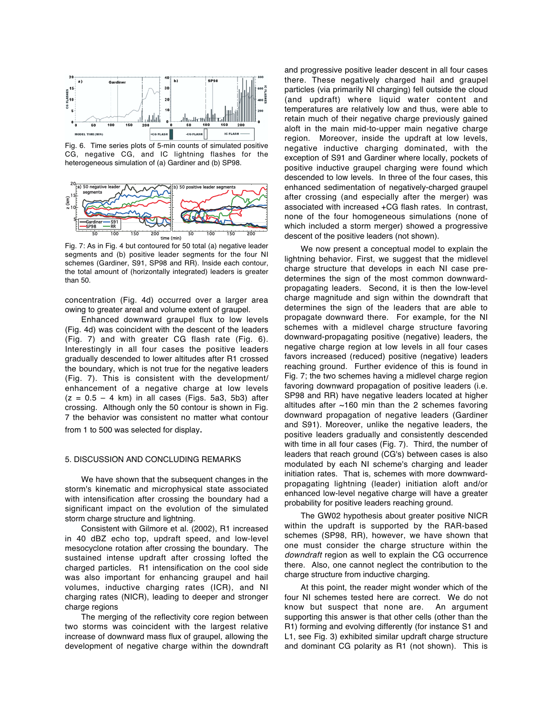

Fig. 6. Time series plots of 5-min counts of simulated positive CG, negative CG, and IC lightning flashes for the heterogeneous simulation of (a) Gardiner and (b) SP98.



Fig. 7: As in Fig. 4 but contoured for 50 total (a) negative leader segments and (b) positive leader segments for the four NI schemes (Gardiner, S91, SP98 and RR). Inside each contour, the total amount of (horizontally integrated) leaders is greater than 50.

concentration (Fig. 4d) occurred over a larger area owing to greater areal and volume extent of graupel.

Enhanced downward graupel flux to low levels (Fig. 4d) was coincident with the descent of the leaders (Fig. 7) and with greater CG flash rate (Fig. 6). Interestingly in all four cases the positive leaders gradually descended to lower altitudes after R1 crossed the boundary, which is not true for the negative leaders (Fig. 7). This is consistent with the development/ enhancement of a negative charge at low levels  $(z = 0.5 - 4$  km) in all cases (Figs. 5a3, 5b3) after crossing. Although only the 50 contour is shown in Fig. 7 the behavior was consistent no matter what contour from 1 to 500 was selected for display.

### 5. DISCUSSION AND CONCLUDING REMARKS

We have shown that the subsequent changes in the storm's kinematic and microphysical state associated with intensification after crossing the boundary had a significant impact on the evolution of the simulated storm charge structure and lightning.

Consistent with Gilmore et al. (2002), R1 increased in 40 dBZ echo top, updraft speed, and low-level mesocyclone rotation after crossing the boundary. The sustained intense updraft after crossing lofted the charged particles. R1 intensification on the cool side was also important for enhancing graupel and hail volumes, inductive charging rates (ICR), and NI charging rates (NICR), leading to deeper and stronger charge regions

The merging of the reflectivity core region between two storms was coincident with the largest relative increase of downward mass flux of graupel, allowing the development of negative charge within the downdraft and progressive positive leader descent in all four cases there. These negatively charged hail and graupel particles (via primarily NI charging) fell outside the cloud (and updraft) where liquid water content and temperatures are relatively low and thus, were able to retain much of their negative charge previously gained aloft in the main mid-to-upper main negative charge region. Moreover, inside the updraft at low levels, negative inductive charging dominated, with the exception of S91 and Gardiner where locally, pockets of positive inductive graupel charging were found which descended to low levels. In three of the four cases, this enhanced sedimentation of negatively-charged graupel after crossing (and especially after the merger) was associated with increased +CG flash rates. In contrast, none of the four homogeneous simulations (none of which included a storm merger) showed a progressive descent of the positive leaders (not shown).

We now present a conceptual model to explain the lightning behavior. First, we suggest that the midlevel charge structure that develops in each NI case predetermines the sign of the most common downwardpropagating leaders. Second, it is then the low-level charge magnitude and sign within the downdraft that determines the sign of the leaders that are able to propagate downward there. For example, for the NI schemes with a midlevel charge structure favoring downward-propagating positive (negative) leaders, the negative charge region at low levels in all four cases favors increased (reduced) positive (negative) leaders reaching ground. Further evidence of this is found in Fig. 7; the two schemes having a midlevel charge region favoring downward propagation of positive leaders (i.e. SP98 and RR) have negative leaders located at higher altitudes after  $~160$  min than the 2 schemes favoring downward propagation of negative leaders (Gardiner and S91). Moreover, unlike the negative leaders, the positive leaders gradually and consistently descended with time in all four cases (Fig. 7). Third, the number of leaders that reach ground (CG's) between cases is also modulated by each NI scheme's charging and leader initiation rates. That is, schemes with more downwardpropagating lightning (leader) initiation aloft and/or enhanced low-level negative charge will have a greater probability for positive leaders reaching ground.

The GW02 hypothesis about greater positive NICR within the updraft is supported by the RAR-based schemes (SP98, RR), however, we have shown that one must consider the charge structure within the downdraft region as well to explain the CG occurrence there. Also, one cannot neglect the contribution to the charge structure from inductive charging.

At this point, the reader might wonder which of the four NI schemes tested here are correct. We do not know but suspect that none are. An argument supporting this answer is that other cells (other than the R1) forming and evolving differently (for instance S1 and L1, see Fig. 3) exhibited similar updraft charge structure and dominant CG polarity as R1 (not shown). This is